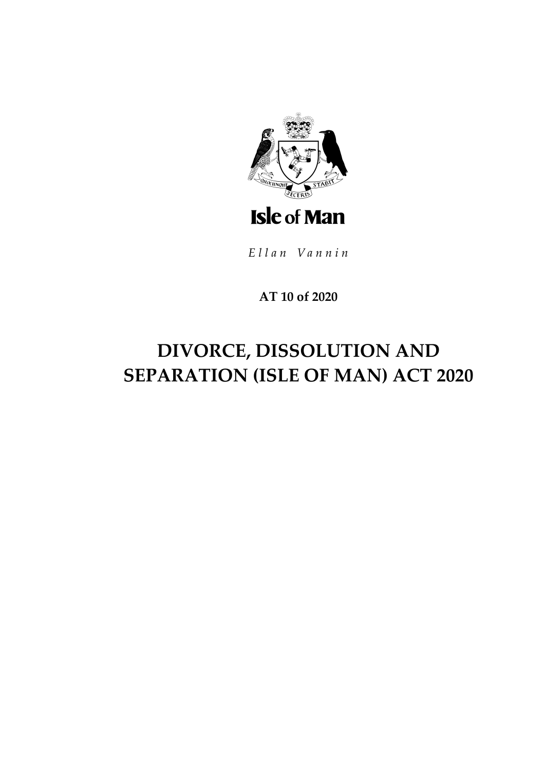

Ellan Vannin

## AT 10 of 2020

# DIVORCE, DISSOLUTION AND SEPARATION (ISLE OF MAN) ACT 2020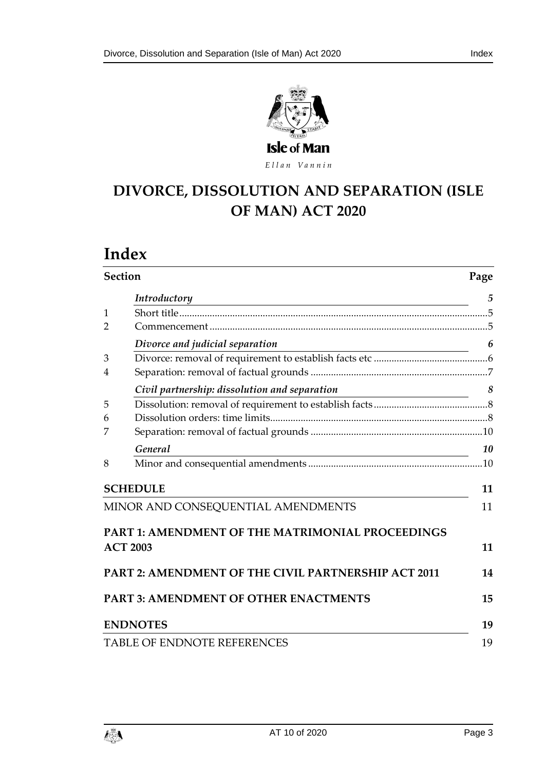



Ellan Vannin

## **DIVORCE, DISSOLUTION AND SEPARATION (ISLE OF MAN) ACT 2020**

## **Index**

| <b>Section</b>                     |                                                                                                                                       | Page |
|------------------------------------|---------------------------------------------------------------------------------------------------------------------------------------|------|
|                                    | Introductory<br><u> 1989 - Johann Barn, mars ann an t-Amhain Aonaichte ann an t-Aonaichte ann an t-Aonaichte ann an t-Aonaichte a</u> | 5    |
| $\mathbf{1}$                       |                                                                                                                                       |      |
| $\overline{2}$                     |                                                                                                                                       |      |
|                                    | Divorce and judicial separation                                                                                                       | 6    |
| 3                                  |                                                                                                                                       |      |
| $\overline{4}$                     |                                                                                                                                       |      |
|                                    | Civil partnership: dissolution and separation<br><u> 1989 - Johann Barn, mars an t-Amerikaansk kommunister (</u>                      | 8    |
| 5                                  |                                                                                                                                       |      |
| 6                                  |                                                                                                                                       |      |
| 7                                  |                                                                                                                                       |      |
|                                    | General                                                                                                                               | 10   |
| 8                                  |                                                                                                                                       |      |
|                                    | <b>SCHEDULE</b>                                                                                                                       | 11   |
| MINOR AND CONSEQUENTIAL AMENDMENTS |                                                                                                                                       | 11   |
|                                    | PART 1: AMENDMENT OF THE MATRIMONIAL PROCEEDINGS<br><b>ACT 2003</b>                                                                   | 11   |
|                                    | <b>PART 2: AMENDMENT OF THE CIVIL PARTNERSHIP ACT 2011</b>                                                                            | 14   |
|                                    | <b>PART 3: AMENDMENT OF OTHER ENACTMENTS</b>                                                                                          | 15   |
|                                    | <b>ENDNOTES</b>                                                                                                                       | 19   |
|                                    | TABLE OF ENDNOTE REFERENCES                                                                                                           | 19   |

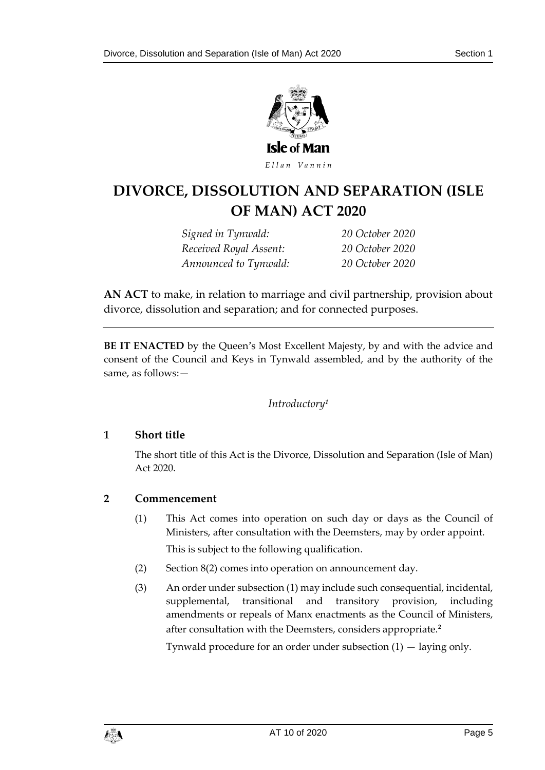

Ellan Vannin

## **DIVORCE, DISSOLUTION AND SEPARATION (ISLE OF MAN) ACT 2020**

*Signed in Tynwald: 20 October 2020 Received Royal Assent: 20 October 2020 Announced to Tynwald: 20 October 2020*

**AN ACT** to make, in relation to marriage and civil partnership, provision about divorce, dissolution and separation; and for connected purposes.

<span id="page-4-0"></span>**BE IT ENACTED** by the Queen's Most Excellent Majesty, by and with the advice and consent of the Council and Keys in Tynwald assembled, and by the authority of the same, as follows:—

#### *Introductory<sup>1</sup>*

#### <span id="page-4-1"></span>**1 Short title**

The short title of this Act is the Divorce, Dissolution and Separation (Isle of Man) Act 2020.

#### <span id="page-4-2"></span>**2 Commencement**

- (1) This Act comes into operation on such day or days as the Council of Ministers, after consultation with the Deemsters, may by order appoint. This is subject to the following qualification.
- (2) Section 8(2) comes into operation on announcement day.
- (3) An order under subsection (1) may include such consequential, incidental, supplemental, transitional and transitory provision, including amendments or repeals of Manx enactments as the Council of Ministers, after consultation with the Deemsters, considers appropriate.**<sup>2</sup>**

Tynwald procedure for an order under subsection  $(1)$  — laying only.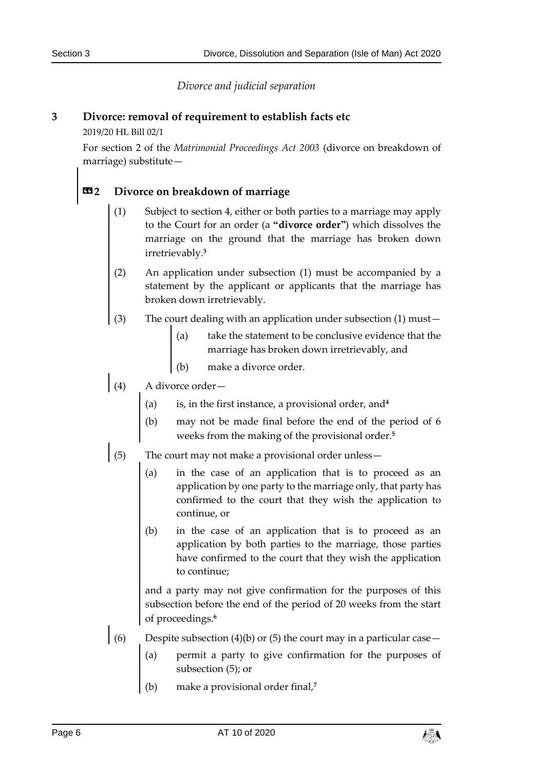*Divorce and judicial separation*

#### <span id="page-5-1"></span><span id="page-5-0"></span>**3 Divorce: removal of requirement to establish facts etc**

2019/20 HL Bill 02/1

For section 2 of the *Matrimonial Proceedings Act 2003* (divorce on breakdown of marriage) substitute—

#### **«2 Divorce on breakdown of marriage**

- (1) Subject to section 4, either or both parties to a marriage may apply to the Court for an order (a **"divorce order"**) which dissolves the marriage on the ground that the marriage has broken down irretrievably.**<sup>3</sup>**
- (2) An application under subsection (1) must be accompanied by a statement by the applicant or applicants that the marriage has broken down irretrievably.
- (3) The court dealing with an application under subsection (1) must—
	- (a) take the statement to be conclusive evidence that the marriage has broken down irretrievably, and
	- (b) make a divorce order.
- (4) A divorce order—
	- (a) is, in the first instance, a provisional order, and**<sup>4</sup>**
	- (b) may not be made final before the end of the period of 6 weeks from the making of the provisional order.**<sup>5</sup>**
- (5) The court may not make a provisional order unless—
	- (a) in the case of an application that is to proceed as an application by one party to the marriage only, that party has confirmed to the court that they wish the application to continue, or
	- (b) in the case of an application that is to proceed as an application by both parties to the marriage, those parties have confirmed to the court that they wish the application to continue;

and a party may not give confirmation for the purposes of this subsection before the end of the period of 20 weeks from the start of proceedings.**<sup>6</sup>**

- (6) Despite subsection (4)(b) or (5) the court may in a particular case
	- permit a party to give confirmation for the purposes of subsection (5); or
	- (b) make a provisional order final,**<sup>7</sup>**

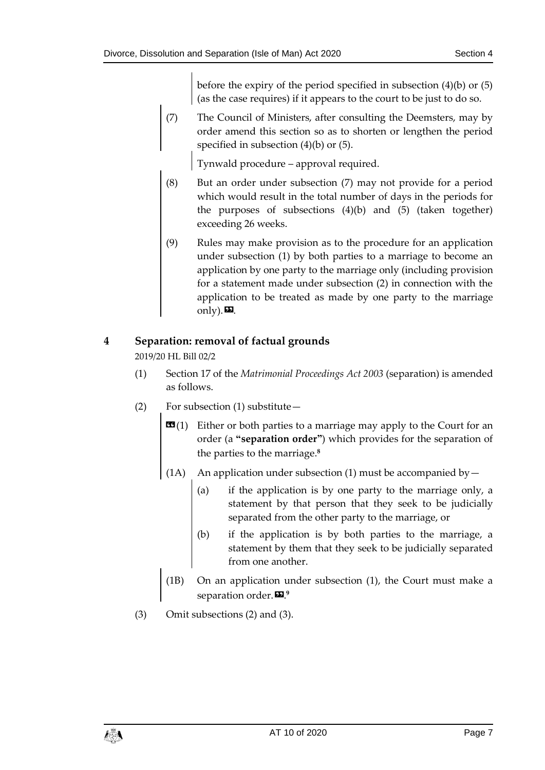before the expiry of the period specified in subsection (4)(b) or (5) (as the case requires) if it appears to the court to be just to do so.

(7) The Council of Ministers, after consulting the Deemsters, may by order amend this section so as to shorten or lengthen the period specified in subsection (4)(b) or (5).

Tynwald procedure – approval required.

- (8) But an order under subsection (7) may not provide for a period which would result in the total number of days in the periods for the purposes of subsections (4)(b) and (5) (taken together) exceeding 26 weeks.
- (9) Rules may make provision as to the procedure for an application under subsection (1) by both parties to a marriage to become an application by one party to the marriage only (including provision for a statement made under subsection (2) in connection with the application to be treated as made by one party to the marriage only). $\mathbf{E}$ .

#### <span id="page-6-0"></span>**4 Separation: removal of factual grounds**

2019/20 HL Bill 02/2

- (1) Section 17 of the *Matrimonial Proceedings Act 2003* (separation) is amended as follows.
- (2) For subsection (1) substitute—
	- **(1) Either or both parties to a marriage may apply to the Court for an** order (a **"separation order"**) which provides for the separation of the parties to the marriage.**<sup>8</sup>**
	- (1A) An application under subsection (1) must be accompanied by  $-$ 
		- (a) if the application is by one party to the marriage only, a statement by that person that they seek to be judicially separated from the other party to the marriage, or
		- (b) if the application is by both parties to the marriage, a statement by them that they seek to be judicially separated from one another.
	- (1B) On an application under subsection (1), the Court must make a separation order.». **9**
- (3) Omit subsections (2) and (3).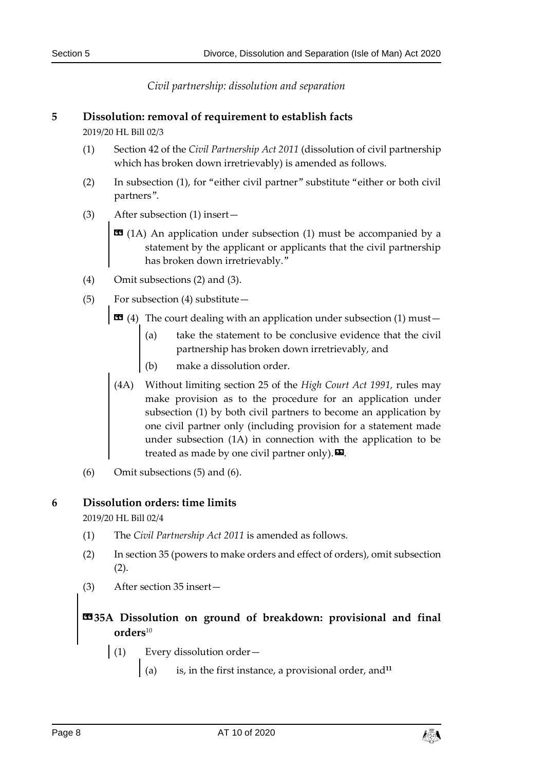*Civil partnership: dissolution and separation*

#### <span id="page-7-1"></span><span id="page-7-0"></span>**5 Dissolution: removal of requirement to establish facts**

2019/20 HL Bill 02/3

- (1) Section 42 of the *Civil Partnership Act 2011* (dissolution of civil partnership which has broken down irretrievably) is amended as follows.
- (2) In subsection (1), for "either civil partner" substitute "either or both civil partners".
- (3) After subsection (1) insert—
	- **EE** (1A) An application under subsection (1) must be accompanied by a statement by the applicant or applicants that the civil partnership has broken down irretrievably."
- (4) Omit subsections (2) and (3).
- (5) For subsection (4) substitute—
	- $\text{13}$  (4) The court dealing with an application under subsection (1) must-
		- (a) take the statement to be conclusive evidence that the civil partnership has broken down irretrievably, and
		- (b) make a dissolution order.
	- (4A) Without limiting section 25 of the *High Court Act 1991,* rules may make provision as to the procedure for an application under subsection (1) by both civil partners to become an application by one civil partner only (including provision for a statement made under subsection (1A) in connection with the application to be treated as made by one civil partner only).  $\mathbf{E}$ .
- (6) Omit subsections (5) and (6).

#### <span id="page-7-2"></span>**6 Dissolution orders: time limits**

2019/20 HL Bill 02/4

- (1) The *Civil Partnership Act 2011* is amended as follows.
- (2) In section 35 (powers to make orders and effect of orders), omit subsection  $(2).$
- (3) After section 35 insert—

#### **«35A Dissolution on ground of breakdown: provisional and final orders**<sup>10</sup>

- (1) Every dissolution order—
	- $\left( \begin{array}{cc} a \end{array} \right)$  is, in the first instance, a provisional order, and<sup>11</sup>

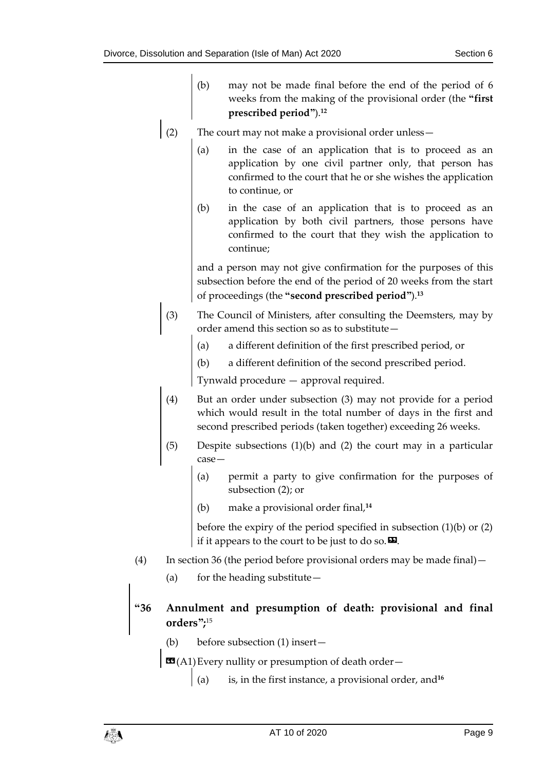- (b) may not be made final before the end of the period of 6 weeks from the making of the provisional order (the **"first prescribed period"**). **12**
- (2) The court may not make a provisional order unless—
	- (a) in the case of an application that is to proceed as an application by one civil partner only, that person has confirmed to the court that he or she wishes the application to continue, or
	- (b) in the case of an application that is to proceed as an application by both civil partners, those persons have confirmed to the court that they wish the application to continue;

and a person may not give confirmation for the purposes of this subsection before the end of the period of 20 weeks from the start of proceedings (the **"second prescribed period"**).**<sup>13</sup>**

- (3) The Council of Ministers, after consulting the Deemsters, may by order amend this section so as to substitute—
	- (a) a different definition of the first prescribed period, or
	- (b) a different definition of the second prescribed period.

Tynwald procedure — approval required.

- (4) But an order under subsection (3) may not provide for a period which would result in the total number of days in the first and second prescribed periods (taken together) exceeding 26 weeks.
- (5) Despite subsections (1)(b) and (2) the court may in a particular case—
	- (a) permit a party to give confirmation for the purposes of subsection (2); or
	- (b) make a provisional order final,**<sup>14</sup>**

before the expiry of the period specified in subsection (1)(b) or (2) if it appears to the court to be just to do so.  $\mathbf{E}$ .

- (4) In section 36 (the period before provisional orders may be made final)—
	- (a) for the heading substitute  $-$

### **"36 Annulment and presumption of death: provisional and final orders";** 15

- (b) before subsection (1) insert—
- **(A1) Every nullity or presumption of death order**
	- is, in the first instance, a provisional order, and<sup>16</sup>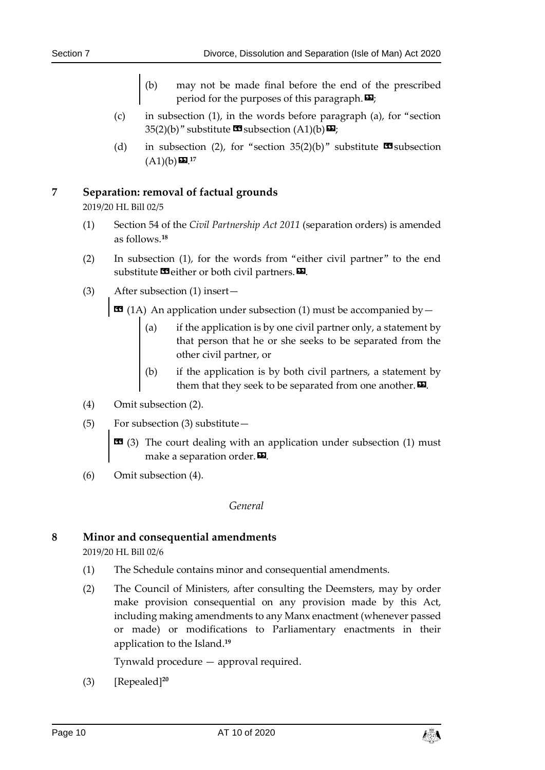- (b) may not be made final before the end of the prescribed period for the purposes of this paragraph. $\mathbf{E}$ ;
- (c) in subsection (1), in the words before paragraph (a), for "section 35(2)(b)" substitute  $\mathbf{\mathfrak{S}}$  subsection (A1)(b) $\mathbf{\mathfrak{S}}$ ;
- (d) in subsection (2), for "section 35(2)(b)" substitute  $\blacksquare$  subsection  $(A1)(b)$ **D**.  $17$

#### <span id="page-9-0"></span>**7 Separation: removal of factual grounds**

2019/20 HL Bill 02/5

- (1) Section 54 of the *Civil Partnership Act 2011* (separation orders) is amended as follows. **18**
- (2) In subsection (1), for the words from "either civil partner" to the end substitute  $\blacksquare$  either or both civil partners.  $\blacksquare$ .
- (3) After subsection (1) insert—

 $\Xi$  (1A) An application under subsection (1) must be accompanied by  $-$ 

- (a) if the application is by one civil partner only, a statement by that person that he or she seeks to be separated from the other civil partner, or
- (b) if the application is by both civil partners, a statement by them that they seek to be separated from one another. $\boldsymbol{\mathsf{E}}$ .
- (4) Omit subsection (2).
- (5) For subsection (3) substitute—
	- **EE** (3) The court dealing with an application under subsection (1) must make a separation order. $\boldsymbol{\mathsf{\Xi}}$ .
- <span id="page-9-1"></span>(6) Omit subsection (4).

#### *General*

#### <span id="page-9-2"></span>**8 Minor and consequential amendments**

2019/20 HL Bill 02/6

- (1) The Schedule contains minor and consequential amendments.
- (2) The Council of Ministers, after consulting the Deemsters, may by order make provision consequential on any provision made by this Act, including making amendments to any Manx enactment (whenever passed or made) or modifications to Parliamentary enactments in their application to the Island.**<sup>19</sup>**

Tynwald procedure — approval required.

(3) [Repealed]**<sup>20</sup>**

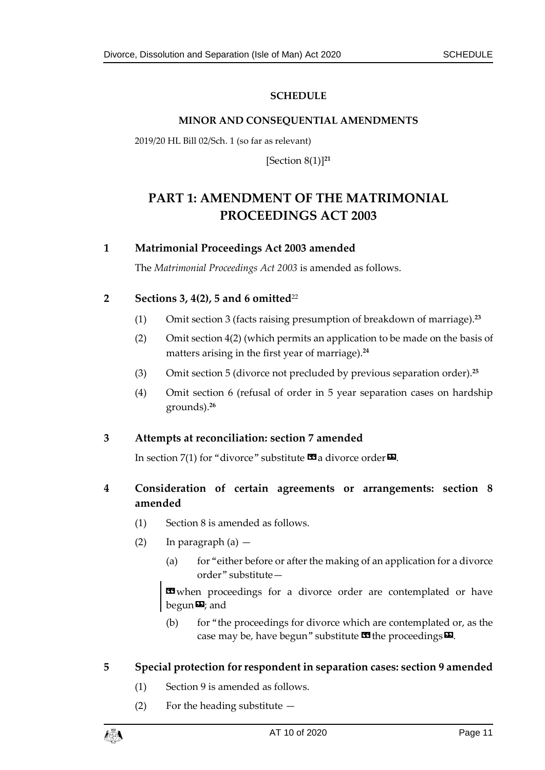#### **SCHEDULE**

#### **MINOR AND CONSEQUENTIAL AMENDMENTS**

<span id="page-10-1"></span><span id="page-10-0"></span>2019/20 HL Bill 02/Sch. 1 (so far as relevant)

[Section 8(1)] **21**

## <span id="page-10-2"></span>**PART 1: AMENDMENT OF THE MATRIMONIAL PROCEEDINGS ACT 2003**

#### **1 Matrimonial Proceedings Act 2003 amended**

The *Matrimonial Proceedings Act 2003* is amended as follows.

#### **2 Sections 3, 4(2), 5 and 6 omitted**<sup>22</sup>

- (1) Omit section 3 (facts raising presumption of breakdown of marriage).**<sup>23</sup>**
- (2) Omit section 4(2) (which permits an application to be made on the basis of matters arising in the first year of marriage).**<sup>24</sup>**
- (3) Omit section 5 (divorce not precluded by previous separation order).**<sup>25</sup>**
- (4) Omit section 6 (refusal of order in 5 year separation cases on hardship grounds).**<sup>26</sup>**

#### **3 Attempts at reconciliation: section 7 amended**

In section 7(1) for "divorce" substitute  $\mathbf{G}$  a divorce order  $\mathbf{D}$ .

#### **4 Consideration of certain agreements or arrangements: section 8 amended**

- (1) Section 8 is amended as follows.
- (2) In paragraph  $(a)$ 
	- (a) for "either before or after the making of an application for a divorce order" substitute—

**ED** when proceedings for a divorce order are contemplated or have  $\mathbf{b}$ egun $\mathbf{D}$ ; and

(b) for "the proceedings for divorce which are contemplated or, as the case may be, have begun" substitute  $\mathbf{\Omega}$  the proceedings $\mathbf{\Omega}$ .

#### **5 Special protection for respondent in separation cases: section 9 amended**

- (1) Section 9 is amended as follows.
- (2) For the heading substitute —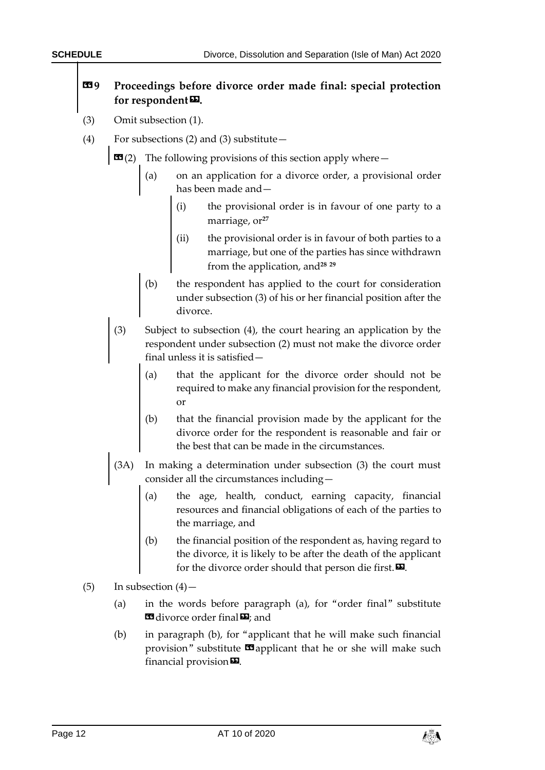#### **«9 Proceedings before divorce order made final: special protection**  for respondent<sup>D</sup>.

- (3) Omit subsection (1).
- (4) For subsections (2) and (3) substitute  $-$

 $\mathbf{G}(2)$  The following provisions of this section apply where —

- (a) on an application for a divorce order, a provisional order has been made and—
	- (i) the provisional order is in favour of one party to a marriage, or<sup>27</sup>
	- (ii) the provisional order is in favour of both parties to a marriage, but one of the parties has since withdrawn from the application, and**<sup>28</sup> <sup>29</sup>**
- (b) the respondent has applied to the court for consideration under subsection (3) of his or her financial position after the divorce.
- (3) Subject to subsection (4), the court hearing an application by the respondent under subsection (2) must not make the divorce order final unless it is satisfied—
	- (a) that the applicant for the divorce order should not be required to make any financial provision for the respondent, or
	- (b) that the financial provision made by the applicant for the divorce order for the respondent is reasonable and fair or the best that can be made in the circumstances.
- (3A) In making a determination under subsection (3) the court must consider all the circumstances including—
	- (a) the age, health, conduct, earning capacity, financial resources and financial obligations of each of the parties to the marriage, and
	- (b) the financial position of the respondent as, having regard to the divorce, it is likely to be after the death of the applicant for the divorce order should that person die first. $\boldsymbol{\mathsf{\Xi}}$ .
- $(5)$  In subsection  $(4)$ 
	- (a) in the words before paragraph (a), for "order final" substitute **Ed** divorce order final **D**: and
	- (b) in paragraph (b), for "applicant that he will make such financial provision" substitute  $\blacksquare$  applicant that he or she will make such financial provision $\boldsymbol{\mathsf{\Xi}}$ .

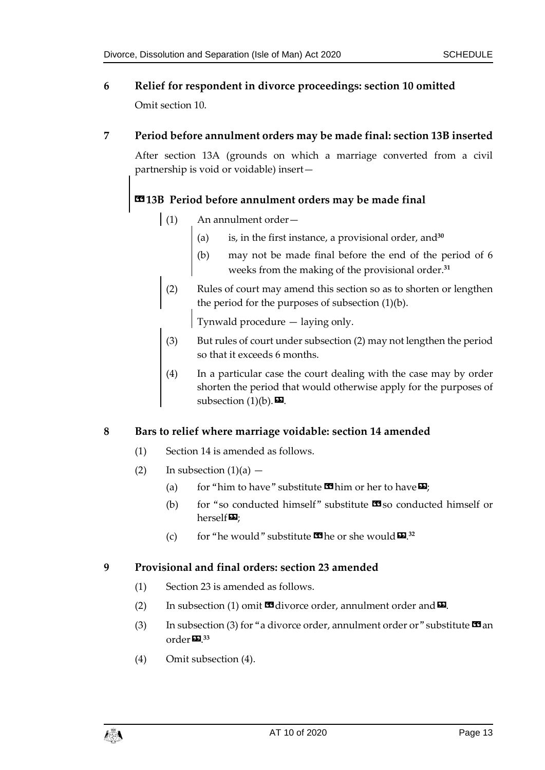- **6 Relief for respondent in divorce proceedings: section 10 omitted** Omit section 10.
- **7 Period before annulment orders may be made final: section 13B inserted**

After section 13A (grounds on which a marriage converted from a civil partnership is void or voidable) insert—

#### **«13B Period before annulment orders may be made final**

- (1) An annulment order—
	- (a) is, in the first instance, a provisional order, and**<sup>30</sup>**
	- (b) may not be made final before the end of the period of 6 weeks from the making of the provisional order.**<sup>31</sup>**
- (2) Rules of court may amend this section so as to shorten or lengthen the period for the purposes of subsection (1)(b).

Tynwald procedure — laying only.

- (3) But rules of court under subsection (2) may not lengthen the period so that it exceeds 6 months.
- (4) In a particular case the court dealing with the case may by order shorten the period that would otherwise apply for the purposes of subsection  $(1)(b)$ .

#### **8 Bars to relief where marriage voidable: section 14 amended**

- (1) Section 14 is amended as follows.
- (2) In subsection  $(1)(a)$ 
	- (a) for "him to have" substitute  $\mathbf{\Omega}$  him or her to have  $\mathbf{\Omega}$ ;
	- (b) for "so conducted himself" substitute  $\mathbf{\mathfrak{B}}$  so conducted himself or herself $\Psi$ :
	- (c) for "he would" substitute  $\mathbf{I}$  the or she would  $\mathbf{E}^{32}$ .

#### **9 Provisional and final orders: section 23 amended**

- (1) Section 23 is amended as follows.
- (2) In subsection (1) omit  $\blacksquare$  divorce order, annulment order and  $\blacksquare$ .
- (3) In subsection (3) for "a divorce order, annulment order or " substitute  $\mathbf{\Omega}$  an order». **33**
- (4) Omit subsection (4).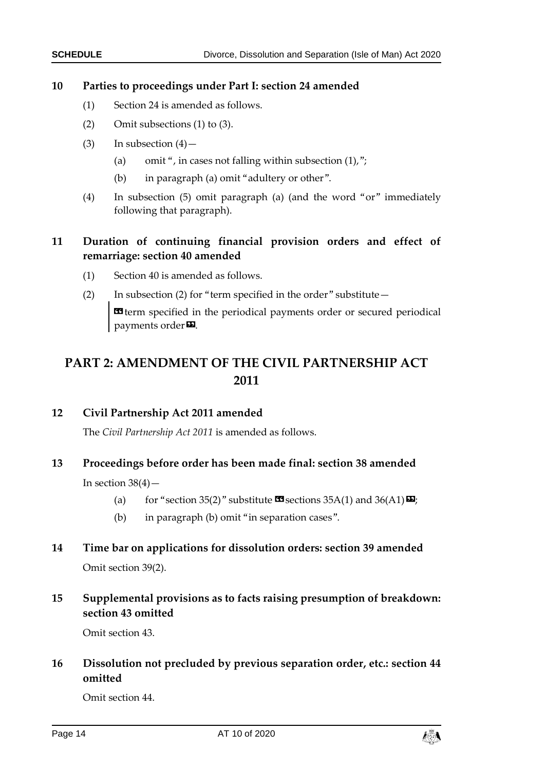#### **10 Parties to proceedings under Part I: section 24 amended**

- (1) Section 24 is amended as follows.
- (2) Omit subsections (1) to (3).
- (3) In subsection  $(4)$  -
	- (a) omit ", in cases not falling within subsection  $(1)$ ,";
	- (b) in paragraph (a) omit "adultery or other".
- (4) In subsection (5) omit paragraph (a) (and the word "or" immediately following that paragraph).

#### **11 Duration of continuing financial provision orders and effect of remarriage: section 40 amended**

- (1) Section 40 is amended as follows.
- (2) In subsection (2) for "term specified in the order" substitute— «term specified in the periodical payments order or secured periodical payments order<sup>D</sup>.

## <span id="page-13-0"></span>**PART 2: AMENDMENT OF THE CIVIL PARTNERSHIP ACT 2011**

#### **12 Civil Partnership Act 2011 amended**

The *Civil Partnership Act 2011* is amended as follows.

#### **13 Proceedings before order has been made final: section 38 amended**

In section  $38(4)$  –

- (a) for "section 35(2)" substitute  $\mathbf{\Omega}$  sections 35A(1) and 36(A1) $\mathbf{\Omega}$ ;
- (b) in paragraph (b) omit "in separation cases".

## **14 Time bar on applications for dissolution orders: section 39 amended**

Omit section 39(2).

#### **15 Supplemental provisions as to facts raising presumption of breakdown: section 43 omitted**

Omit section 43.

#### **16 Dissolution not precluded by previous separation order, etc.: section 44 omitted**

Omit section 44.

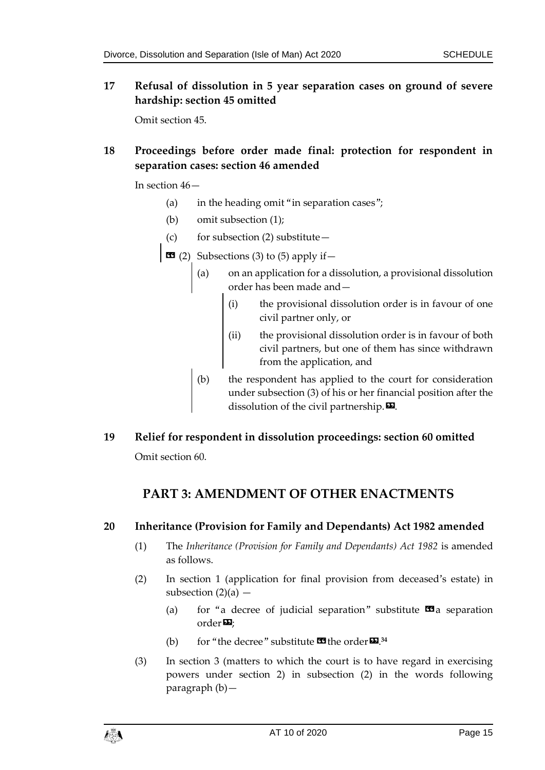**17 Refusal of dissolution in 5 year separation cases on ground of severe hardship: section 45 omitted**

Omit section 45.

#### **18 Proceedings before order made final: protection for respondent in separation cases: section 46 amended**

In section 46—

- (a) in the heading omit "in separation cases";
- (b) omit subsection (1);
- (c) for subsection (2) substitute  $-$
- $\bullet$  (2) Subsections (3) to (5) apply if  $-$ 
	- (a) on an application for a dissolution, a provisional dissolution order has been made and—
		- (i) the provisional dissolution order is in favour of one civil partner only, or
		- (ii) the provisional dissolution order is in favour of both civil partners, but one of them has since withdrawn from the application, and
	- (b) the respondent has applied to the court for consideration under subsection (3) of his or her financial position after the dissolution of the civil partnership. $\boldsymbol{\mathsf{E}}$ .
- <span id="page-14-0"></span>**19 Relief for respondent in dissolution proceedings: section 60 omitted** Omit section 60.

### **PART 3: AMENDMENT OF OTHER ENACTMENTS**

#### **20 Inheritance (Provision for Family and Dependants) Act 1982 amended**

- (1) The *Inheritance (Provision for Family and Dependants) Act 1982* is amended as follows.
- (2) In section 1 (application for final provision from deceased's estate) in subsection  $(2)(a)$  –
	- (a) for "a decree of judicial separation" substitute  $\mathbf{\Omega}$  a separation order $\mathbf{E}$ ;
	- (b) for "the decree" substitute  $\mathbf{F}$  the order  $\mathbf{E}$ .<sup>34</sup>
- (3) In section 3 (matters to which the court is to have regard in exercising powers under section 2) in subsection (2) in the words following paragraph (b)—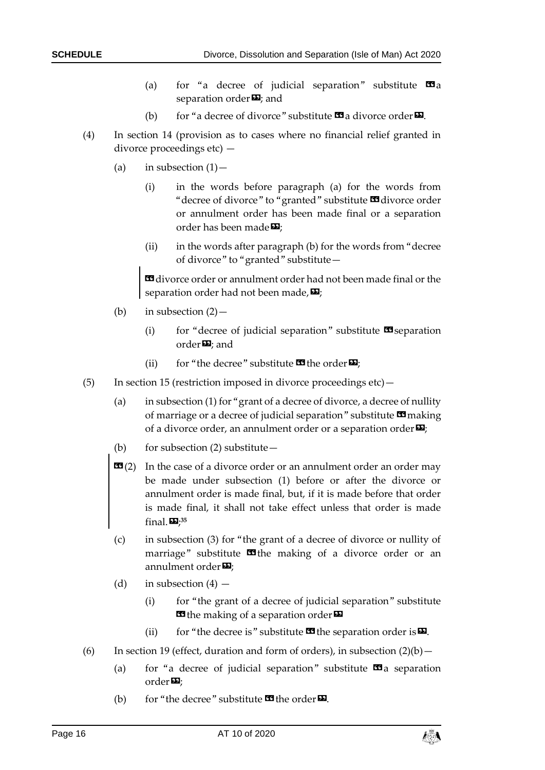- (a) for "a decree of judicial separation" substitute  $\Box a$ separation order $\boldsymbol{\mathsf{\Xi}}$ ; and
- (b) for "a decree of divorce" substitute  $\mathbf{G}$  a divorce order  $\mathbf{D}$ .
- (4) In section 14 (provision as to cases where no financial relief granted in divorce proceedings etc) —
	- (a) in subsection  $(1)$ 
		- (i) in the words before paragraph (a) for the words from "decree of divorce" to "granted" substitute **II** divorce order or annulment order has been made final or a separation order has been made $\mathbf{E}$ :
		- (ii) in the words after paragraph (b) for the words from "decree of divorce" to "granted" substitute—

«divorce order or annulment order had not been made final or the separation order had not been made,  $\boldsymbol{\mathsf{\Xi}}$ ;

- (b) in subsection  $(2)$ 
	- (i) for "decree of judicial separation" substitute  $\mathbf{\mathcal{F}}$  separation order $\boldsymbol{\Xi}$ ; and
	- (ii) for "the decree" substitute  $\mathbf{\Omega}$  the order  $\mathbf{\Sigma}$ ;
- (5) In section 15 (restriction imposed in divorce proceedings etc)—
	- (a) in subsection (1) for "grant of a decree of divorce, a decree of nullity of marriage or a decree of judicial separation" substitute  $\mathbf{\Omega}$  making of a divorce order, an annulment order or a separation order $\boldsymbol{\Sigma}$ ;
	- (b) for subsection  $(2)$  substitute —
	- **(2) In the case of a divorce order or an annulment order an order may** be made under subsection (1) before or after the divorce or annulment order is made final, but, if it is made before that order is made final, it shall not take effect unless that order is made final.»; **35**
	- (c) in subsection (3) for "the grant of a decree of divorce or nullity of marriage" substitute  $\Box$  the making of a divorce order or an annulment order $\mathbf{E}$ ;
	- (d) in subsection  $(4)$ 
		- (i) for "the grant of a decree of judicial separation" substitute **E** the making of a separation order
		- (ii) for "the decree is" substitute  $\blacksquare$  the separation order is  $\blacksquare$ .
- (6) In section 19 (effect, duration and form of orders), in subsection  $(2)(b)$  -
	- (a) for "a decree of judicial separation" substitute  $\mathbf{\Omega}$  a separation  $order$  $\mathbf{E}$ ;
	- (b) for "the decree" substitute  $\mathbf{C}$  the order  $\mathbf{E}$ .

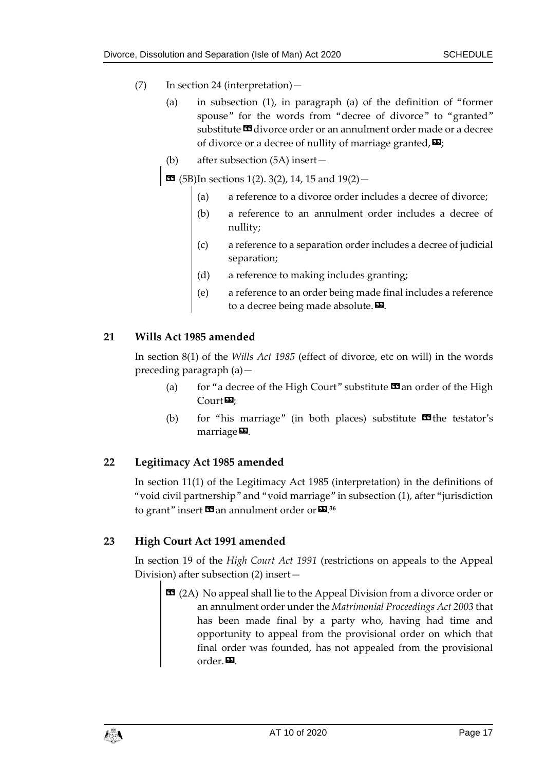- (7) In section 24 (interpretation)—
	- (a) in subsection (1), in paragraph (a) of the definition of "former spouse" for the words from "decree of divorce" to "granted" substitute **II** divorce order or an annulment order made or a decree of divorce or a decree of nullity of marriage granted,  $\mathbf{E}$ ;
	- (b) after subsection (5A) insert—

 $\text{13}$  (5B)In sections 1(2), 3(2), 14, 15 and  $19(2)$  -

- (a) a reference to a divorce order includes a decree of divorce;
- (b) a reference to an annulment order includes a decree of nullity;
- (c) a reference to a separation order includes a decree of judicial separation;
- (d) a reference to making includes granting;
- (e) a reference to an order being made final includes a reference to a decree being made absolute. $\boldsymbol{\mathsf{\Xi}}$ .

#### **21 Wills Act 1985 amended**

In section 8(1) of the *Wills Act 1985* (effect of divorce, etc on will) in the words preceding paragraph (a)—

- (a) for "a decree of the High Court" substitute  $\Box$  an order of the High  $\text{Court}$
- (b) for "his marriage" (in both places) substitute  $\blacksquare$  the testator's marriage $\mathbf{E}$ .

#### **22 Legitimacy Act 1985 amended**

In section 11(1) of the Legitimacy Act 1985 (interpretation) in the definitions of "void civil partnership" and "void marriage" in subsection (1), after "jurisdiction to grant" insert **11** an annulment order or **12**.<sup>36</sup>

#### **23 High Court Act 1991 amended**

In section 19 of the *High Court Act 1991* (restrictions on appeals to the Appeal Division) after subsection (2) insert—

**EE** (2A) No appeal shall lie to the Appeal Division from a divorce order or an annulment order under the *Matrimonial Proceedings Act 2003* that has been made final by a party who, having had time and opportunity to appeal from the provisional order on which that final order was founded, has not appealed from the provisional order.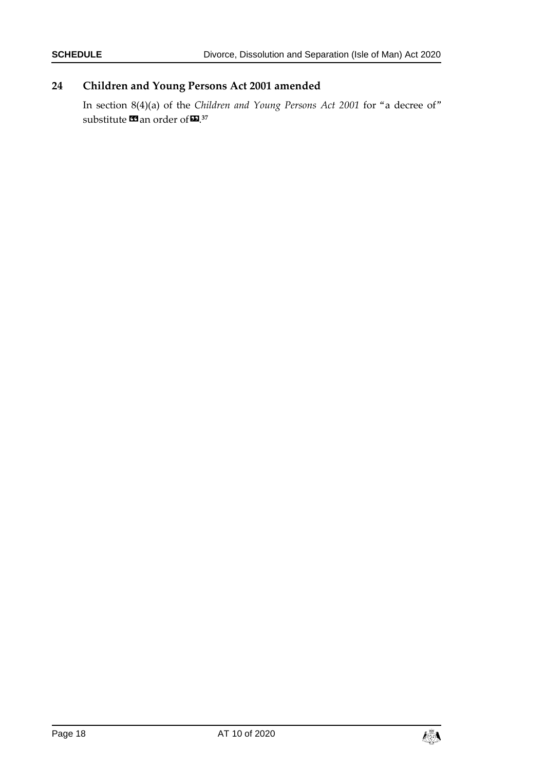#### **24 Children and Young Persons Act 2001 amended**

In section 8(4)(a) of the *Children and Young Persons Act 2001* for "a decree of" substitute **¤** an order of **¤**.37